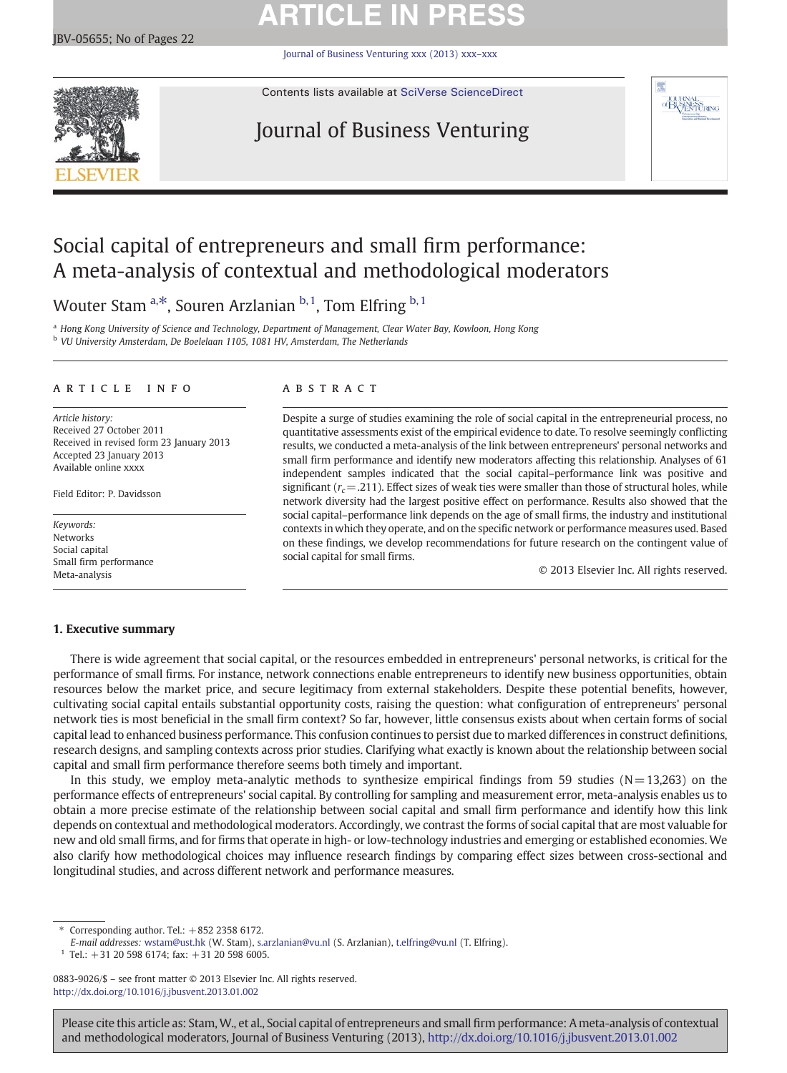# **ARTICLE IN PRESS**

[Journal of Business Venturing xxx \(2013\) xxx](http://dx.doi.org/10.1016/j.jbusvent.2013.01.002)–xxx



Contents lists available at [SciVerse ScienceDirect](http://www.sciencedirect.com/science/journal/08839026)

## Journal of Business Venturing



## Social capital of entrepreneurs and small firm performance: A meta-analysis of contextual and methodological moderators

Wouter Stam  $a, *$ , Souren Arzlanian  $b, 1$ , Tom Elfring  $b, 1$ 

<sup>a</sup> Hong Kong University of Science and Technology, Department of Management, Clear Water Bay, Kowloon, Hong Kong <sup>b</sup> VU University Amsterdam, De Boelelaan 1105, 1081 HV, Amsterdam, The Netherlands

#### article info abstract

Article history: Received 27 October 2011 Received in revised form 23 January 2013 Accepted 23 January 2013 Available online xxxx

Field Editor: P. Davidsson

Keywords: **Networks** Social capital Small firm performance Meta-analysis

Despite a surge of studies examining the role of social capital in the entrepreneurial process, no quantitative assessments exist of the empirical evidence to date. To resolve seemingly conflicting results, we conducted a meta-analysis of the link between entrepreneurs' personal networks and small firm performance and identify new moderators affecting this relationship. Analyses of 61 independent samples indicated that the social capital–performance link was positive and significant ( $r_c$  = .211). Effect sizes of weak ties were smaller than those of structural holes, while network diversity had the largest positive effect on performance. Results also showed that the social capital–performance link depends on the age of small firms, the industry and institutional contexts in which they operate, and on the specific network or performance measures used. Based on these findings, we develop recommendations for future research on the contingent value of social capital for small firms.

© 2013 Elsevier Inc. All rights reserved.

### 1. Executive summary

There is wide agreement that social capital, or the resources embedded in entrepreneurs' personal networks, is critical for the performance of small firms. For instance, network connections enable entrepreneurs to identify new business opportunities, obtain resources below the market price, and secure legitimacy from external stakeholders. Despite these potential benefits, however, cultivating social capital entails substantial opportunity costs, raising the question: what configuration of entrepreneurs' personal network ties is most beneficial in the small firm context? So far, however, little consensus exists about when certain forms of social capital lead to enhanced business performance. This confusion continues to persist due to marked differences in construct definitions, research designs, and sampling contexts across prior studies. Clarifying what exactly is known about the relationship between social capital and small firm performance therefore seems both timely and important.

In this study, we employ meta-analytic methods to synthesize empirical findings from 59 studies ( $N=13,263$ ) on the performance effects of entrepreneurs' social capital. By controlling for sampling and measurement error, meta-analysis enables us to obtain a more precise estimate of the relationship between social capital and small firm performance and identify how this link depends on contextual and methodological moderators. Accordingly, we contrast the forms of social capital that are most valuable for new and old small firms, and for firms that operate in high- or low-technology industries and emerging or established economies. We also clarify how methodological choices may influence research findings by comparing effect sizes between cross-sectional and longitudinal studies, and across different network and performance measures.

Corresponding author. Tel.:  $+852$  2358 6172.

0883-9026/\$ – see front matter © 2013 Elsevier Inc. All rights reserved. <http://dx.doi.org/10.1016/j.jbusvent.2013.01.002>

Please cite this article as: Stam,W., et al., Social capital of entrepreneurs and small firm performance: A meta-analysis of contextual and methodological moderators, Journal of Business Venturing (2013), <http://dx.doi.org/10.1016/j.jbusvent.2013.01.002>

E-mail addresses: [wstam@ust.hk](mailto:wstam@ust.hk) (W. Stam), [s.arzlanian@vu.nl](mailto:s.arzlanian@vu.nl) (S. Arzlanian), [t.elfring@vu.nl](mailto:t.elfring@vu.nl) (T. Elfring).

 $1$  Tel.: +31 20 598 6174; fax: +31 20 598 6005.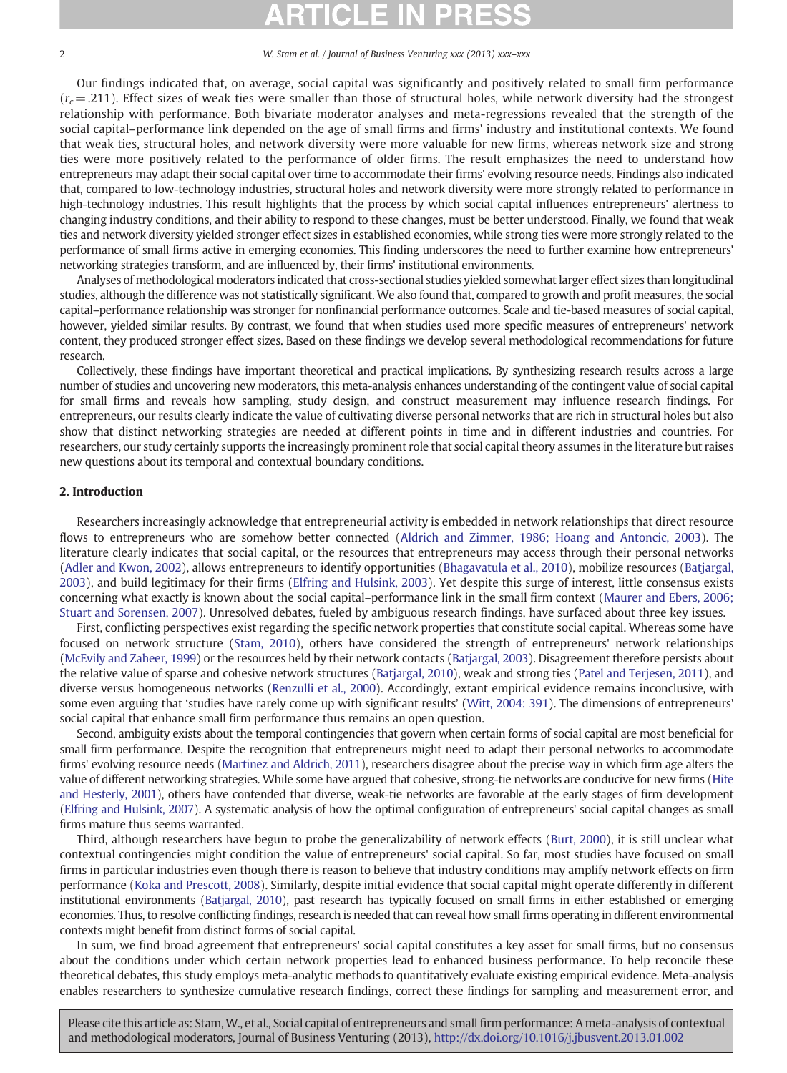#### 2 W. Stam et al. / Journal of Business Venturing xxx (2013) xxx–xxx

Our findings indicated that, on average, social capital was significantly and positively related to small firm performance  $(r_c= 211)$ . Effect sizes of weak ties were smaller than those of structural holes, while network diversity had the strongest relationship with performance. Both bivariate moderator analyses and meta-regressions revealed that the strength of the social capital–performance link depended on the age of small firms and firms' industry and institutional contexts. We found that weak ties, structural holes, and network diversity were more valuable for new firms, whereas network size and strong ties were more positively related to the performance of older firms. The result emphasizes the need to understand how entrepreneurs may adapt their social capital over time to accommodate their firms' evolving resource needs. Findings also indicated that, compared to low-technology industries, structural holes and network diversity were more strongly related to performance in high-technology industries. This result highlights that the process by which social capital influences entrepreneurs' alertness to changing industry conditions, and their ability to respond to these changes, must be better understood. Finally, we found that weak ties and network diversity yielded stronger effect sizes in established economies, while strong ties were more strongly related to the performance of small firms active in emerging economies. This finding underscores the need to further examine how entrepreneurs' networking strategies transform, and are influenced by, their firms' institutional environments.

Analyses of methodological moderators indicated that cross-sectional studies yielded somewhat larger effect sizes than longitudinal studies, although the difference was not statistically significant. We also found that, compared to growth and profit measures, the social capital–performance relationship was stronger for nonfinancial performance outcomes. Scale and tie-based measures of social capital, however, yielded similar results. By contrast, we found that when studies used more specific measures of entrepreneurs' network content, they produced stronger effect sizes. Based on these findings we develop several methodological recommendations for future research.

Collectively, these findings have important theoretical and practical implications. By synthesizing research results across a large number of studies and uncovering new moderators, this meta-analysis enhances understanding of the contingent value of social capital for small firms and reveals how sampling, study design, and construct measurement may influence research findings. For entrepreneurs, our results clearly indicate the value of cultivating diverse personal networks that are rich in structural holes but also show that distinct networking strategies are needed at different points in time and in different industries and countries. For researchers, our study certainly supports the increasingly prominent role that social capital theory assumes in the literature but raises new questions about its temporal and contextual boundary conditions.

### 2. Introduction

Researchers increasingly acknowledge that entrepreneurial activity is embedded in network relationships that direct resource flows to entrepreneurs who are somehow better connected ([Aldrich and Zimmer, 1986; Hoang and Antoncic, 2003\)](#page--1-0). The literature clearly indicates that social capital, or the resources that entrepreneurs may access through their personal networks ([Adler and Kwon, 2002\)](#page--1-0), allows entrepreneurs to identify opportunities ([Bhagavatula et al., 2010\)](#page--1-0), mobilize resources ([Batjargal,](#page--1-0) [2003](#page--1-0)), and build legitimacy for their firms ([Elfring and Hulsink, 2003\)](#page--1-0). Yet despite this surge of interest, little consensus exists concerning what exactly is known about the social capital–performance link in the small firm context ([Maurer and Ebers, 2006;](#page--1-0) [Stuart and Sorensen, 2007](#page--1-0)). Unresolved debates, fueled by ambiguous research findings, have surfaced about three key issues.

First, conflicting perspectives exist regarding the specific network properties that constitute social capital. Whereas some have focused on network structure [\(Stam, 2010\)](#page--1-0), others have considered the strength of entrepreneurs' network relationships ([McEvily and Zaheer, 1999\)](#page--1-0) or the resources held by their network contacts ([Batjargal, 2003](#page--1-0)). Disagreement therefore persists about the relative value of sparse and cohesive network structures [\(Batjargal, 2010](#page--1-0)), weak and strong ties [\(Patel and Terjesen, 2011\)](#page--1-0), and diverse versus homogeneous networks [\(Renzulli et al., 2000\)](#page--1-0). Accordingly, extant empirical evidence remains inconclusive, with some even arguing that 'studies have rarely come up with significant results' ([Witt, 2004: 391](#page--1-0)). The dimensions of entrepreneurs' social capital that enhance small firm performance thus remains an open question.

Second, ambiguity exists about the temporal contingencies that govern when certain forms of social capital are most beneficial for small firm performance. Despite the recognition that entrepreneurs might need to adapt their personal networks to accommodate firms' evolving resource needs ([Martinez and Aldrich, 2011\)](#page--1-0), researchers disagree about the precise way in which firm age alters the value of different networking strategies. While some have argued that cohesive, strong-tie networks are conducive for new firms ([Hite](#page--1-0) [and Hesterly, 2001](#page--1-0)), others have contended that diverse, weak-tie networks are favorable at the early stages of firm development ([Elfring and Hulsink, 2007](#page--1-0)). A systematic analysis of how the optimal configuration of entrepreneurs' social capital changes as small firms mature thus seems warranted.

Third, although researchers have begun to probe the generalizability of network effects ([Burt, 2000](#page--1-0)), it is still unclear what contextual contingencies might condition the value of entrepreneurs' social capital. So far, most studies have focused on small firms in particular industries even though there is reason to believe that industry conditions may amplify network effects on firm performance (Koka [and Prescott, 2008\)](#page--1-0). Similarly, despite initial evidence that social capital might operate differently in different institutional environments [\(Batjargal, 2010\)](#page--1-0), past research has typically focused on small firms in either established or emerging economies. Thus, to resolve conflicting findings, research is needed that can reveal how small firms operating in different environmental contexts might benefit from distinct forms of social capital.

In sum, we find broad agreement that entrepreneurs' social capital constitutes a key asset for small firms, but no consensus about the conditions under which certain network properties lead to enhanced business performance. To help reconcile these theoretical debates, this study employs meta-analytic methods to quantitatively evaluate existing empirical evidence. Meta-analysis enables researchers to synthesize cumulative research findings, correct these findings for sampling and measurement error, and

Please cite this article as: Stam,W., et al., Social capital of entrepreneurs and small firm performance: A meta-analysis of contextual and methodological moderators, Journal of Business Venturing (2013), <http://dx.doi.org/10.1016/j.jbusvent.2013.01.002>